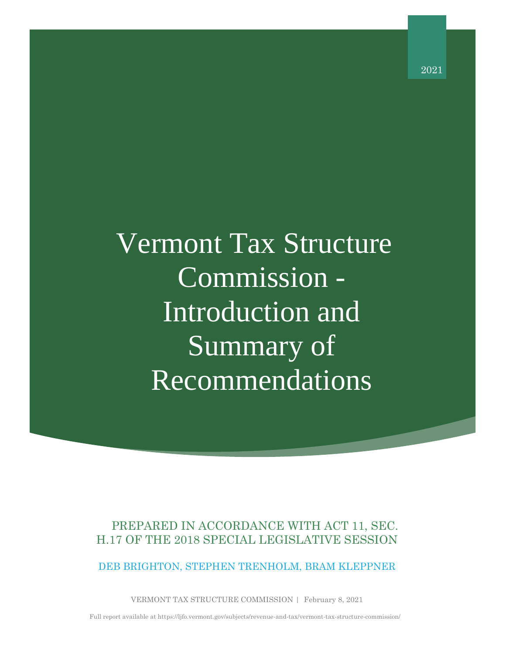Vermont Tax Structure Commission - Introduction and Summary of Recommendations

# PREPARED IN ACCORDANCE WITH ACT 11, SEC. H.17 OF THE 2018 SPECIAL LEGISLATIVE SESSION

DEB BRIGHTON, STEPHEN TRENHOLM, BRAM KLEPPNER

VERMONT TAX STRUCTURE COMMISSION | February 8, 2021

Full report available at https://ljfo.vermont.gov/subjects/revenue-and-tax/vermont-tax-structure-commission/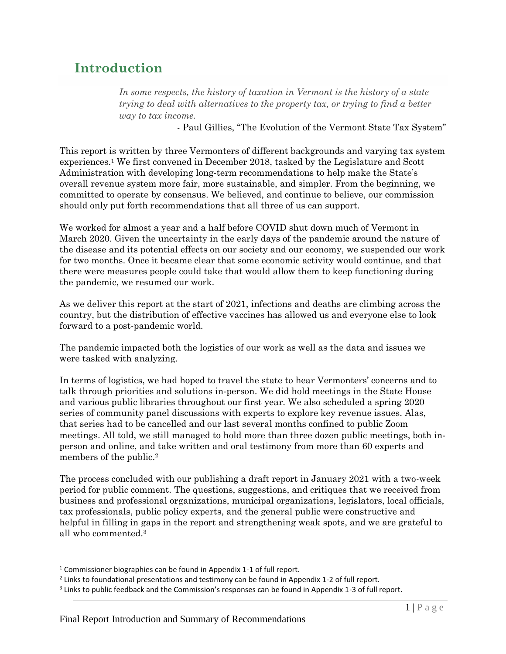# **Introduction**

In some respects, the history of taxation in Vermont is the history of a state *trying to deal with alternatives to the property tax, or trying to find a better way to tax income.* 

- Paul Gillies, "The Evolution of the Vermont State Tax System"

This report is written by three Vermonters of different backgrounds and varying tax system experiences.<sup>1</sup> We first convened in December 2018, tasked by the Legislature and Scott Administration with developing long-term recommendations to help make the State's overall revenue system more fair, more sustainable, and simpler. From the beginning, we committed to operate by consensus. We believed, and continue to believe, our commission should only put forth recommendations that all three of us can support.

We worked for almost a year and a half before COVID shut down much of Vermont in March 2020. Given the uncertainty in the early days of the pandemic around the nature of the disease and its potential effects on our society and our economy, we suspended our work for two months. Once it became clear that some economic activity would continue, and that there were measures people could take that would allow them to keep functioning during the pandemic, we resumed our work.

As we deliver this report at the start of 2021, infections and deaths are climbing across the country, but the distribution of effective vaccines has allowed us and everyone else to look forward to a post-pandemic world.

The pandemic impacted both the logistics of our work as well as the data and issues we were tasked with analyzing.

In terms of logistics, we had hoped to travel the state to hear Vermonters' concerns and to talk through priorities and solutions in-person. We did hold meetings in the State House and various public libraries throughout our first year. We also scheduled a spring 2020 series of community panel discussions with experts to explore key revenue issues. Alas, that series had to be cancelled and our last several months confined to public Zoom meetings. All told, we still managed to hold more than three dozen public meetings, both inperson and online, and take written and oral testimony from more than 60 experts and members of the public. 2

The process concluded with our publishing a draft report in January 2021 with a two-week period for public comment. The questions, suggestions, and critiques that we received from business and professional organizations, municipal organizations, legislators, local officials, tax professionals, public policy experts, and the general public were constructive and helpful in filling in gaps in the report and strengthening weak spots, and we are grateful to all who commented.<sup>3</sup>

 $1$  Commissioner biographies can be found in Appendix 1-1 of full report.

 $^2$  Links to foundational presentations and testimony can be found in Appendix 1-2 of full report.

 $3$  Links to public feedback and the Commission's responses can be found in Appendix 1-3 of full report.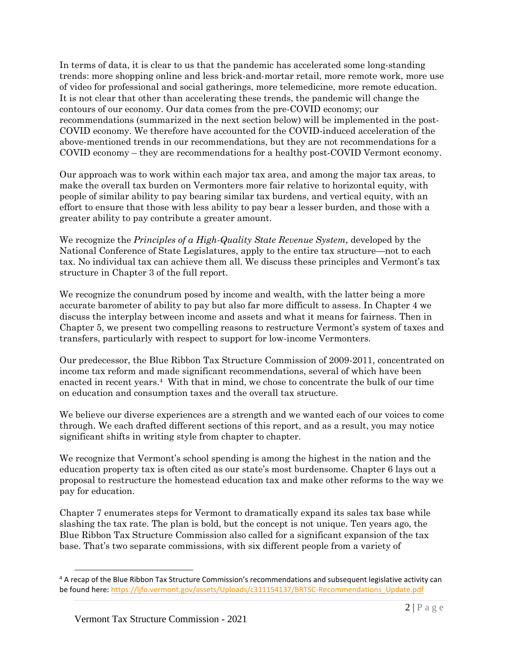In terms of data, it is clear to us that the pandemic has accelerated some long-standing trends: more shopping online and less brick-and-mortar retail, more remote work, more use of video for professional and social gatherings, more telemedicine, more remote education. It is not clear that other than accelerating these trends, the pandemic will change the contours of our economy. Our data comes from the pre-COVID economy; our recommendations (summarized in the next section below) will be implemented in the post-COVID economy. We therefore have accounted for the COVID-induced acceleration of the above-mentioned trends in our recommendations, but they are not recommendations for a COVID economy – they are recommendations for a healthy post-COVID Vermont economy.

Our approach was to work within each major tax area, and among the major tax areas, to make the overall tax burden on Vermonters more fair relative to horizontal equity, with people of similar ability to pay bearing similar tax burdens, and vertical equity, with an effort to ensure that those with less ability to pay bear a lesser burden, and those with a greater ability to pay contribute a greater amount.

We recognize the *Principles of a High-Quality State Revenue System*, developed by the National Conference of State Legislatures, apply to the entire tax structure—not to each tax. No individual tax can achieve them all. We discuss these principles and Vermont's tax structure in Chapter 3 of the full report.

We recognize the conundrum posed by income and wealth, with the latter being a more accurate barometer of ability to pay but also far more difficult to assess. In Chapter 4 we discuss the interplay between income and assets and what it means for fairness. Then in Chapter 5, we present two compelling reasons to restructure Vermont's system of taxes and transfers, particularly with respect to support for low-income Vermonters.

Our predecessor, the Blue Ribbon Tax Structure Commission of 2009-2011, concentrated on income tax reform and made significant recommendations, several of which have been enacted in recent years. 4 With that in mind, we chose to concentrate the bulk of our time on education and consumption taxes and the overall tax structure.

We believe our diverse experiences are a strength and we wanted each of our voices to come through. We each drafted different sections of this report, and as a result, you may notice significant shifts in writing style from chapter to chapter.

We recognize that Vermont's school spending is among the highest in the nation and the education property tax is often cited as our state's most burdensome. Chapter 6 lays out a proposal to restructure the homestead education tax and make other reforms to the way we pay for education.

Chapter 7 enumerates steps for Vermont to dramatically expand its sales tax base while slashing the tax rate. The plan is bold, but the concept is not unique. Ten years ago, the Blue Ribbon Tax Structure Commission also called for a significant expansion of the tax base. That's two separate commissions, with six different people from a variety of

<sup>4</sup> A recap of the Blue Ribbon Tax Structure Commission's recommendations and subsequent legislative activity can be found here[: https://ljfo.vermont.gov/assets/Uploads/c311154137/BRTSC-Recommendations\\_Update.pdf](https://ljfo.vermont.gov/assets/Uploads/c311154137/BRTSC-Recommendations_Update.pdf)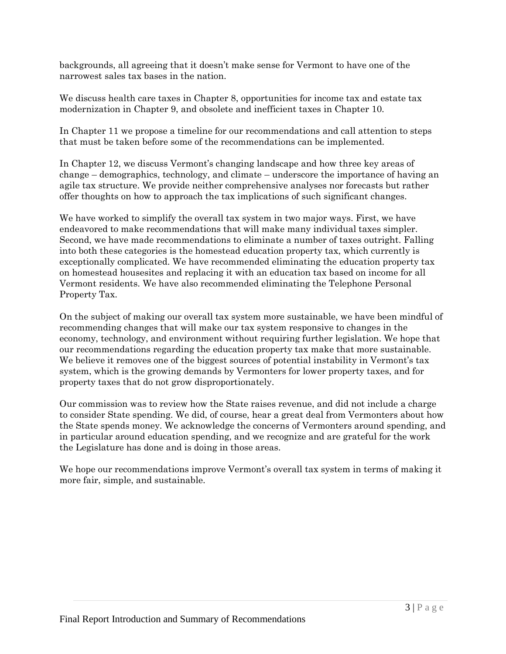backgrounds, all agreeing that it doesn't make sense for Vermont to have one of the narrowest sales tax bases in the nation.

We discuss health care taxes in Chapter 8, opportunities for income tax and estate tax modernization in Chapter 9, and obsolete and inefficient taxes in Chapter 10.

In Chapter 11 we propose a timeline for our recommendations and call attention to steps that must be taken before some of the recommendations can be implemented.

In Chapter 12, we discuss Vermont's changing landscape and how three key areas of change – demographics, technology, and climate – underscore the importance of having an agile tax structure. We provide neither comprehensive analyses nor forecasts but rather offer thoughts on how to approach the tax implications of such significant changes.

We have worked to simplify the overall tax system in two major ways. First, we have endeavored to make recommendations that will make many individual taxes simpler. Second, we have made recommendations to eliminate a number of taxes outright. Falling into both these categories is the homestead education property tax, which currently is exceptionally complicated. We have recommended eliminating the education property tax on homestead housesites and replacing it with an education tax based on income for all Vermont residents. We have also recommended eliminating the Telephone Personal Property Tax.

On the subject of making our overall tax system more sustainable, we have been mindful of recommending changes that will make our tax system responsive to changes in the economy, technology, and environment without requiring further legislation. We hope that our recommendations regarding the education property tax make that more sustainable. We believe it removes one of the biggest sources of potential instability in Vermont's tax system, which is the growing demands by Vermonters for lower property taxes, and for property taxes that do not grow disproportionately.

Our commission was to review how the State raises revenue, and did not include a charge to consider State spending. We did, of course, hear a great deal from Vermonters about how the State spends money. We acknowledge the concerns of Vermonters around spending, and in particular around education spending, and we recognize and are grateful for the work the Legislature has done and is doing in those areas.

We hope our recommendations improve Vermont's overall tax system in terms of making it more fair, simple, and sustainable.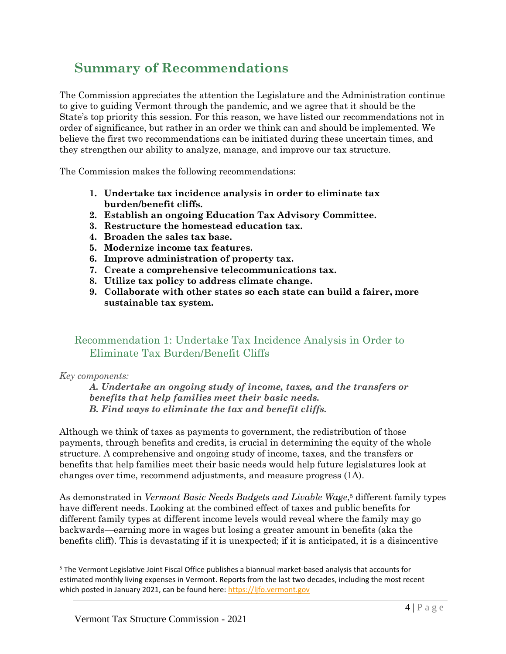# **Summary of Recommendations**

The Commission appreciates the attention the Legislature and the Administration continue to give to guiding Vermont through the pandemic, and we agree that it should be the State's top priority this session. For this reason, we have listed our recommendations not in order of significance, but rather in an order we think can and should be implemented. We believe the first two recommendations can be initiated during these uncertain times, and they strengthen our ability to analyze, manage, and improve our tax structure.

The Commission makes the following recommendations:

- **1. Undertake tax incidence analysis in order to eliminate tax burden/benefit cliffs.**
- **2. Establish an ongoing Education Tax Advisory Committee.**
- **3. Restructure the homestead education tax.**
- **4. Broaden the sales tax base.**
- **5. Modernize income tax features.**
- **6. Improve administration of property tax.**
- **7. Create a comprehensive telecommunications tax.**
- **8. Utilize tax policy to address climate change.**
- **9. Collaborate with other states so each state can build a fairer, more sustainable tax system.**

## Recommendation 1: Undertake Tax Incidence Analysis in Order to Eliminate Tax Burden/Benefit Cliffs

#### *Key components:*

*A. Undertake an ongoing study of income, taxes, and the transfers or benefits that help families meet their basic needs. B. Find ways to eliminate the tax and benefit cliffs.* 

Although we think of taxes as payments to government, the redistribution of those payments, through benefits and credits, is crucial in determining the equity of the whole structure. A comprehensive and ongoing study of income, taxes, and the transfers or benefits that help families meet their basic needs would help future legislatures look at changes over time, recommend adjustments, and measure progress (1A).

As demonstrated in *Vermont Basic Needs Budgets and Livable Wage*, <sup>5</sup> different family types have different needs. Looking at the combined effect of taxes and public benefits for different family types at different income levels would reveal where the family may go backwards—earning more in wages but losing a greater amount in benefits (aka the benefits cliff). This is devastating if it is unexpected; if it is anticipated, it is a disincentive

<sup>&</sup>lt;sup>5</sup> The Vermont Legislative Joint Fiscal Office publishes a biannual market-based analysis that accounts for estimated monthly living expenses in Vermont. Reports from the last two decades, including the most recent which posted in January 2021, can be found here: [https://ljfo.vermont.gov](https://ljfo.vermont.gov/)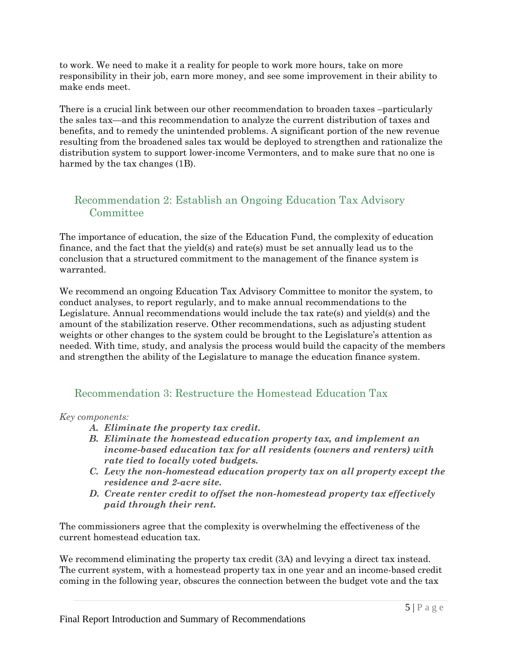to work. We need to make it a reality for people to work more hours, take on more responsibility in their job, earn more money, and see some improvement in their ability to make ends meet.

There is a crucial link between our other recommendation to broaden taxes –particularly the sales tax—and this recommendation to analyze the current distribution of taxes and benefits, and to remedy the unintended problems. A significant portion of the new revenue resulting from the broadened sales tax would be deployed to strengthen and rationalize the distribution system to support lower-income Vermonters, and to make sure that no one is harmed by the tax changes (1B).

# Recommendation 2: Establish an Ongoing Education Tax Advisory Committee

The importance of education, the size of the Education Fund, the complexity of education finance, and the fact that the yield(s) and rate(s) must be set annually lead us to the conclusion that a structured commitment to the management of the finance system is warranted.

We recommend an ongoing Education Tax Advisory Committee to monitor the system, to conduct analyses, to report regularly, and to make annual recommendations to the Legislature. Annual recommendations would include the tax rate(s) and yield(s) and the amount of the stabilization reserve. Other recommendations, such as adjusting student weights or other changes to the system could be brought to the Legislature's attention as needed. With time, study, and analysis the process would build the capacity of the members and strengthen the ability of the Legislature to manage the education finance system.

## Recommendation 3: Restructure the Homestead Education Tax

*Key components:* 

- *A. Eliminate the property tax credit.*
- *B. Eliminate the homestead education property tax, and implement an income-based education tax for all residents (owners and renters) with rate tied to locally voted budgets.*
- *C. Levy the non-homestead education property tax on all property except the residence and 2-acre site.*
- *D. Create renter credit to offset the non-homestead property tax effectively paid through their rent.*

The commissioners agree that the complexity is overwhelming the effectiveness of the current homestead education tax.

We recommend eliminating the property tax credit  $(3A)$  and levying a direct tax instead. The current system, with a homestead property tax in one year and an income-based credit coming in the following year, obscures the connection between the budget vote and the tax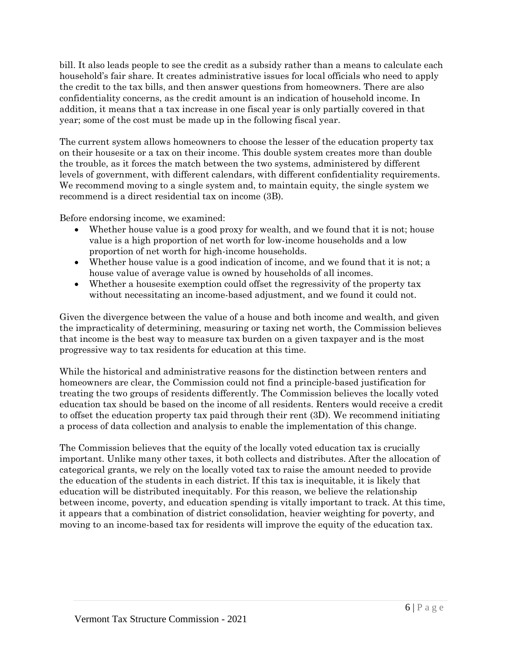bill. It also leads people to see the credit as a subsidy rather than a means to calculate each household's fair share. It creates administrative issues for local officials who need to apply the credit to the tax bills, and then answer questions from homeowners. There are also confidentiality concerns, as the credit amount is an indication of household income. In addition, it means that a tax increase in one fiscal year is only partially covered in that year; some of the cost must be made up in the following fiscal year.

The current system allows homeowners to choose the lesser of the education property tax on their housesite or a tax on their income. This double system creates more than double the trouble, as it forces the match between the two systems, administered by different levels of government, with different calendars, with different confidentiality requirements. We recommend moving to a single system and, to maintain equity, the single system we recommend is a direct residential tax on income (3B).

Before endorsing income, we examined:

- Whether house value is a good proxy for wealth, and we found that it is not; house value is a high proportion of net worth for low-income households and a low proportion of net worth for high-income households.
- Whether house value is a good indication of income, and we found that it is not; a house value of average value is owned by households of all incomes.
- Whether a housesite exemption could offset the regressivity of the property tax without necessitating an income-based adjustment, and we found it could not.

Given the divergence between the value of a house and both income and wealth, and given the impracticality of determining, measuring or taxing net worth, the Commission believes that income is the best way to measure tax burden on a given taxpayer and is the most progressive way to tax residents for education at this time.

While the historical and administrative reasons for the distinction between renters and homeowners are clear, the Commission could not find a principle-based justification for treating the two groups of residents differently. The Commission believes the locally voted education tax should be based on the income of all residents. Renters would receive a credit to offset the education property tax paid through their rent (3D). We recommend initiating a process of data collection and analysis to enable the implementation of this change.

The Commission believes that the equity of the locally voted education tax is crucially important. Unlike many other taxes, it both collects and distributes. After the allocation of categorical grants, we rely on the locally voted tax to raise the amount needed to provide the education of the students in each district. If this tax is inequitable, it is likely that education will be distributed inequitably. For this reason, we believe the relationship between income, poverty, and education spending is vitally important to track. At this time, it appears that a combination of district consolidation, heavier weighting for poverty, and moving to an income-based tax for residents will improve the equity of the education tax.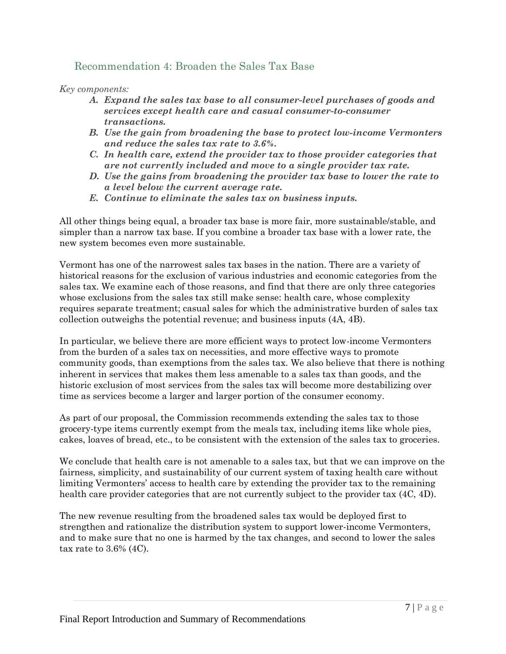## Recommendation 4: Broaden the Sales Tax Base

*Key components:*

- *A. Expand the sales tax base to all consumer-level purchases of goods and services except health care and casual consumer-to-consumer transactions.*
- *B. Use the gain from broadening the base to protect low-income Vermonters and reduce the sales tax rate to 3.6%.*
- *C. In health care, extend the provider tax to those provider categories that are not currently included and move to a single provider tax rate.*
- *D. Use the gains from broadening the provider tax base to lower the rate to a level below the current average rate.*
- *E. Continue to eliminate the sales tax on business inputs.*

All other things being equal, a broader tax base is more fair, more sustainable/stable, and simpler than a narrow tax base. If you combine a broader tax base with a lower rate, the new system becomes even more sustainable.

Vermont has one of the narrowest sales tax bases in the nation. There are a variety of historical reasons for the exclusion of various industries and economic categories from the sales tax. We examine each of those reasons, and find that there are only three categories whose exclusions from the sales tax still make sense: health care, whose complexity requires separate treatment; casual sales for which the administrative burden of sales tax collection outweighs the potential revenue; and business inputs (4A, 4B).

In particular, we believe there are more efficient ways to protect low-income Vermonters from the burden of a sales tax on necessities, and more effective ways to promote community goods, than exemptions from the sales tax. We also believe that there is nothing inherent in services that makes them less amenable to a sales tax than goods, and the historic exclusion of most services from the sales tax will become more destabilizing over time as services become a larger and larger portion of the consumer economy.

As part of our proposal, the Commission recommends extending the sales tax to those grocery-type items currently exempt from the meals tax, including items like whole pies, cakes, loaves of bread, etc., to be consistent with the extension of the sales tax to groceries.

We conclude that health care is not amenable to a sales tax, but that we can improve on the fairness, simplicity, and sustainability of our current system of taxing health care without limiting Vermonters' access to health care by extending the provider tax to the remaining health care provider categories that are not currently subject to the provider tax  $(4C, 4D)$ .

The new revenue resulting from the broadened sales tax would be deployed first to strengthen and rationalize the distribution system to support lower-income Vermonters, and to make sure that no one is harmed by the tax changes, and second to lower the sales tax rate to 3.6% (4C).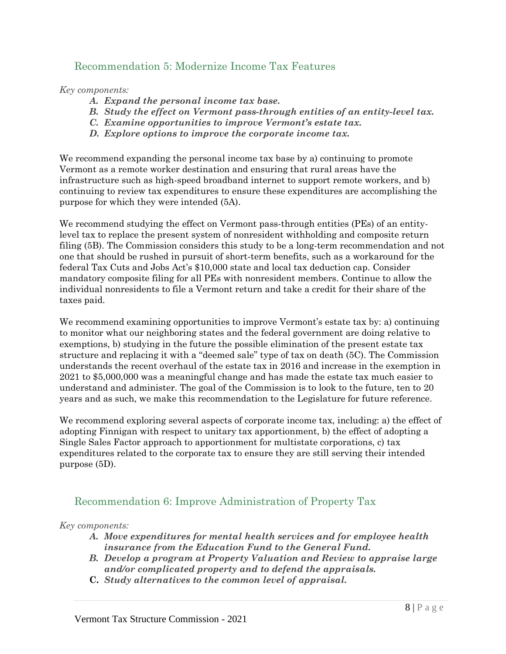#### Recommendation 5: Modernize Income Tax Features

*Key components:*

- *A. Expand the personal income tax base.*
- *B. Study the effect on Vermont pass-through entities of an entity-level tax.*
- *C. Examine opportunities to improve Vermont's estate tax.*
- *D. Explore options to improve the corporate income tax.*

We recommend expanding the personal income tax base by a) continuing to promote Vermont as a remote worker destination and ensuring that rural areas have the infrastructure such as high-speed broadband internet to support remote workers, and b) continuing to review tax expenditures to ensure these expenditures are accomplishing the purpose for which they were intended (5A).

We recommend studying the effect on Vermont pass-through entities (PEs) of an entitylevel tax to replace the present system of nonresident withholding and composite return filing (5B). The Commission considers this study to be a long-term recommendation and not one that should be rushed in pursuit of short-term benefits, such as a workaround for the federal Tax Cuts and Jobs Act's \$10,000 state and local tax deduction cap. Consider mandatory composite filing for all PEs with nonresident members. Continue to allow the individual nonresidents to file a Vermont return and take a credit for their share of the taxes paid.

We recommend examining opportunities to improve Vermont's estate tax by: a) continuing to monitor what our neighboring states and the federal government are doing relative to exemptions, b) studying in the future the possible elimination of the present estate tax structure and replacing it with a "deemed sale" type of tax on death (5C). The Commission understands the recent overhaul of the estate tax in 2016 and increase in the exemption in 2021 to \$5,000,000 was a meaningful change and has made the estate tax much easier to understand and administer. The goal of the Commission is to look to the future, ten to 20 years and as such, we make this recommendation to the Legislature for future reference.

We recommend exploring several aspects of corporate income tax, including: a) the effect of adopting Finnigan with respect to unitary tax apportionment, b) the effect of adopting a Single Sales Factor approach to apportionment for multistate corporations, c) tax expenditures related to the corporate tax to ensure they are still serving their intended purpose (5D).

#### Recommendation 6: Improve Administration of Property Tax

#### *Key components:*

- *A. Move expenditures for mental health services and for employee health insurance from the Education Fund to the General Fund.*
- *B. Develop a program at Property Valuation and Review to appraise large and/or complicated property and to defend the appraisals.*
- **C.** *Study alternatives to the common level of appraisal.*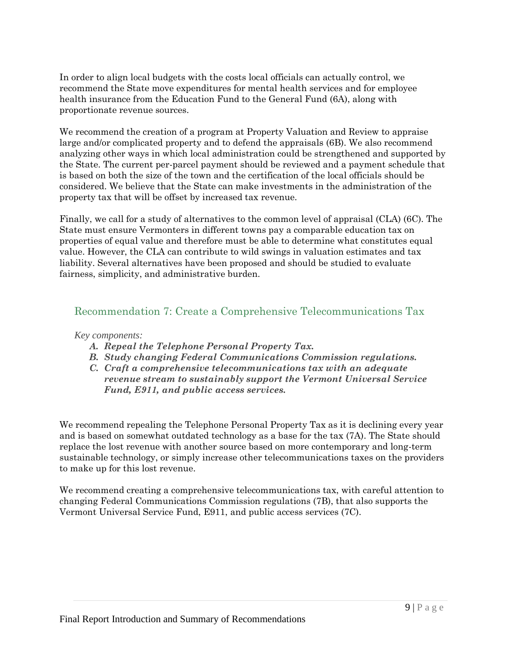In order to align local budgets with the costs local officials can actually control, we recommend the State move expenditures for mental health services and for employee health insurance from the Education Fund to the General Fund (6A), along with proportionate revenue sources.

We recommend the creation of a program at Property Valuation and Review to appraise large and/or complicated property and to defend the appraisals (6B). We also recommend analyzing other ways in which local administration could be strengthened and supported by the State. The current per-parcel payment should be reviewed and a payment schedule that is based on both the size of the town and the certification of the local officials should be considered. We believe that the State can make investments in the administration of the property tax that will be offset by increased tax revenue.

Finally, we call for a study of alternatives to the common level of appraisal (CLA) (6C). The State must ensure Vermonters in different towns pay a comparable education tax on properties of equal value and therefore must be able to determine what constitutes equal value. However, the CLA can contribute to wild swings in valuation estimates and tax liability. Several alternatives have been proposed and should be studied to evaluate fairness, simplicity, and administrative burden.

#### Recommendation 7: Create a Comprehensive Telecommunications Tax

#### *Key components:*

- *A. Repeal the Telephone Personal Property Tax.*
- *B. Study changing Federal Communications Commission regulations.*
- *C. Craft a comprehensive telecommunications tax with an adequate revenue stream to sustainably support the Vermont Universal Service Fund, E911, and public access services.*

We recommend repealing the Telephone Personal Property Tax as it is declining every year and is based on somewhat outdated technology as a base for the tax (7A). The State should replace the lost revenue with another source based on more contemporary and long-term sustainable technology, or simply increase other telecommunications taxes on the providers to make up for this lost revenue.

We recommend creating a comprehensive telecommunications tax, with careful attention to changing Federal Communications Commission regulations (7B), that also supports the Vermont Universal Service Fund, E911, and public access services (7C).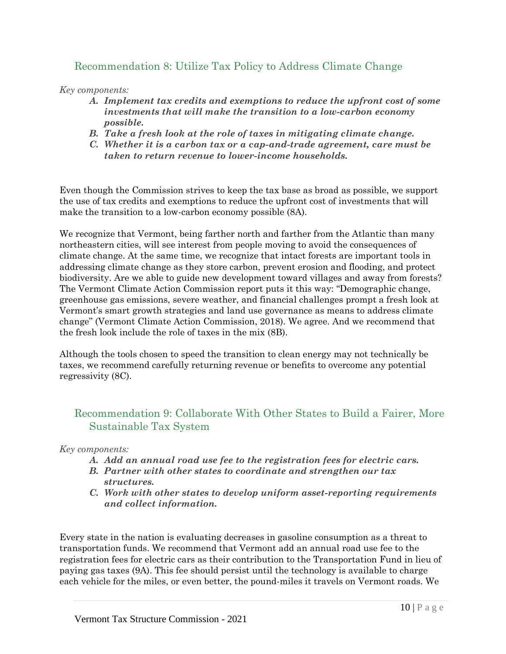## Recommendation 8: Utilize Tax Policy to Address Climate Change

*Key components:*

- *A. Implement tax credits and exemptions to reduce the upfront cost of some investments that will make the transition to a low-carbon economy possible.*
- *B. Take a fresh look at the role of taxes in mitigating climate change.*
- *C. Whether it is a carbon tax or a cap-and-trade agreement, care must be taken to return revenue to lower-income households.*

Even though the Commission strives to keep the tax base as broad as possible, we support the use of tax credits and exemptions to reduce the upfront cost of investments that will make the transition to a low-carbon economy possible (8A).

We recognize that Vermont, being farther north and farther from the Atlantic than many northeastern cities, will see interest from people moving to avoid the consequences of climate change. At the same time, we recognize that intact forests are important tools in addressing climate change as they store carbon, prevent erosion and flooding, and protect biodiversity. Are we able to guide new development toward villages and away from forests? The Vermont Climate Action Commission report puts it this way: "Demographic change, greenhouse gas emissions, severe weather, and financial challenges prompt a fresh look at Vermont's smart growth strategies and land use governance as means to address climate change" (Vermont Climate Action Commission, 2018). We agree. And we recommend that the fresh look include the role of taxes in the mix (8B).

Although the tools chosen to speed the transition to clean energy may not technically be taxes, we recommend carefully returning revenue or benefits to overcome any potential regressivity (8C).

## Recommendation 9: Collaborate With Other States to Build a Fairer, More Sustainable Tax System

#### *Key components:*

- *A. Add an annual road use fee to the registration fees for electric cars.*
- *B. Partner with other states to coordinate and strengthen our tax structures.*
- *C. Work with other states to develop uniform asset-reporting requirements and collect information.*

Every state in the nation is evaluating decreases in gasoline consumption as a threat to transportation funds. We recommend that Vermont add an annual road use fee to the registration fees for electric cars as their contribution to the Transportation Fund in lieu of paying gas taxes (9A). This fee should persist until the technology is available to charge each vehicle for the miles, or even better, the pound-miles it travels on Vermont roads. We